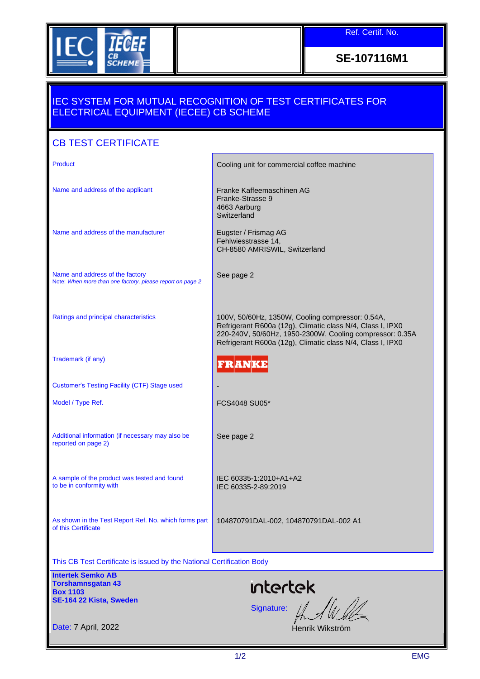

Ref. Certif. No.

**SE-107116M1**

## IEC SYSTEM FOR MUTUAL RECOGNITION OF TEST CERTIFICATES FOR ELECTRICAL EQUIPMENT (IECEE) CB SCHEME

| <b>CB TEST CERTIFICATE</b>                                                                         |                                                                                                                                                                                                                                          |  |  |  |  |
|----------------------------------------------------------------------------------------------------|------------------------------------------------------------------------------------------------------------------------------------------------------------------------------------------------------------------------------------------|--|--|--|--|
| <b>Product</b>                                                                                     | Cooling unit for commercial coffee machine                                                                                                                                                                                               |  |  |  |  |
| Name and address of the applicant                                                                  | Franke Kaffeemaschinen AG<br>Franke-Strasse 9<br>4663 Aarburg<br>Switzerland                                                                                                                                                             |  |  |  |  |
| Name and address of the manufacturer                                                               | Eugster / Frismag AG<br>Fehlwiesstrasse 14,<br>CH-8580 AMRISWIL, Switzerland                                                                                                                                                             |  |  |  |  |
| Name and address of the factory<br>Note: When more than one factory, please report on page 2       | See page 2                                                                                                                                                                                                                               |  |  |  |  |
| Ratings and principal characteristics                                                              | 100V, 50/60Hz, 1350W, Cooling compressor: 0.54A,<br>Refrigerant R600a (12g), Climatic class N/4, Class I, IPX0<br>220-240V, 50/60Hz, 1950-2300W, Cooling compressor: 0.35A<br>Refrigerant R600a (12g), Climatic class N/4, Class I, IPX0 |  |  |  |  |
| Trademark (if any)                                                                                 | FRANKE                                                                                                                                                                                                                                   |  |  |  |  |
| <b>Customer's Testing Facility (CTF) Stage used</b>                                                |                                                                                                                                                                                                                                          |  |  |  |  |
| Model / Type Ref.                                                                                  | FCS4048 SU05*                                                                                                                                                                                                                            |  |  |  |  |
| Additional information (if necessary may also be<br>reported on page 2)                            | See page 2                                                                                                                                                                                                                               |  |  |  |  |
| A sample of the product was tested and found<br>to be in conformity with                           | IEC 60335-1:2010+A1+A2<br>IEC 60335-2-89:2019                                                                                                                                                                                            |  |  |  |  |
| As shown in the Test Report Ref. No. which forms part<br>of this Certificate                       | 104870791DAL-002, 104870791DAL-002 A1                                                                                                                                                                                                    |  |  |  |  |
| This CB Test Certificate is issued by the National Certification Body                              |                                                                                                                                                                                                                                          |  |  |  |  |
| <b>Intertek Semko AB</b><br><b>Torshamnsgatan 43</b><br><b>Box 1103</b><br>SE-164 22 Kista, Sweden | <b>intertek</b><br>Signature: AA                                                                                                                                                                                                         |  |  |  |  |
| Date: 7 April, 2022                                                                                | Henrik Wikström                                                                                                                                                                                                                          |  |  |  |  |